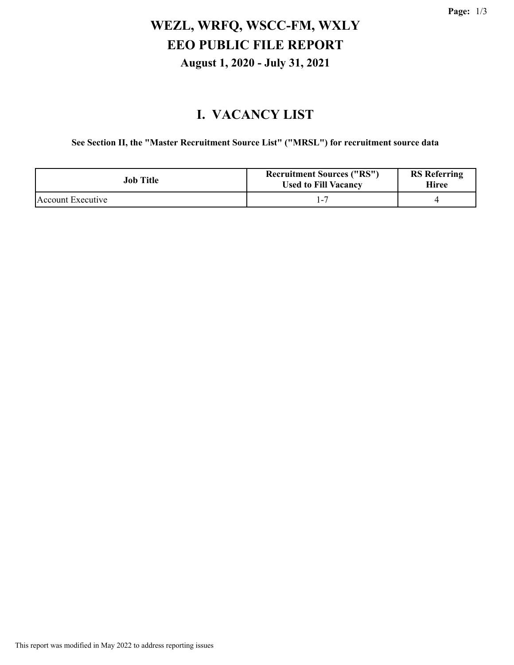### **WEZL, WRFQ, WSCC-FM, WXLY EEO PUBLIC FILE REPORT August 1, 2020 - July 31, 2021**

### **I. VACANCY LIST**

**See Section II, the "Master Recruitment Source List" ("MRSL") for recruitment source data**

| <b>Job Title</b>  | <b>Recruitment Sources ("RS")</b><br><b>Used to Fill Vacancy</b> | <b>RS</b> Referring<br>Hiree |
|-------------------|------------------------------------------------------------------|------------------------------|
| Account Executive |                                                                  |                              |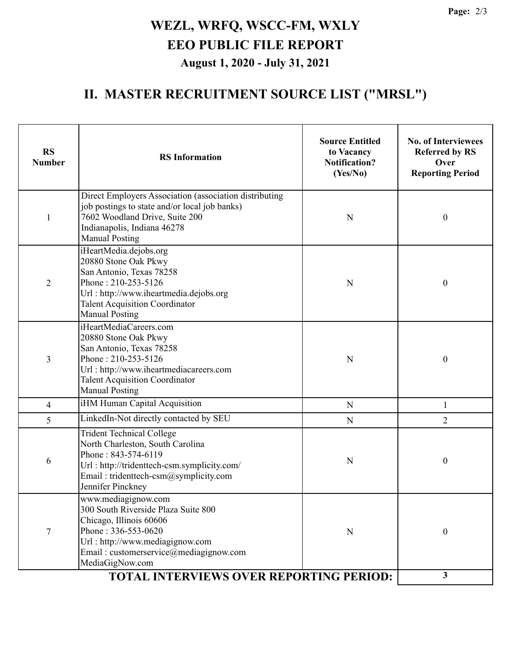**Page:** 2/3

# **WEZL, WRFQ, WSCC-FM, WXLY EEO PUBLIC FILE REPORT August 1, 2020 - July 31, 2021**

#### **II. MASTER RECRUITMENT SOURCE LIST ("MRSL")**

| <b>RS</b><br><b>Number</b> | <b>RS</b> Information                                                                                                                                                                                                                                          | <b>Source Entitled</b><br>to Vacancy<br><b>Notification?</b><br>(Yes/No) | <b>No. of Interviewees</b><br><b>Referred by RS</b><br>Over<br><b>Reporting Period</b> |
|----------------------------|----------------------------------------------------------------------------------------------------------------------------------------------------------------------------------------------------------------------------------------------------------------|--------------------------------------------------------------------------|----------------------------------------------------------------------------------------|
| 1                          | Direct Employers Association (association distributing<br>job postings to state and/or local job banks)<br>7602 Woodland Drive, Suite 200<br>Indianapolis, Indiana 46278<br><b>Manual Posting</b>                                                              | 0                                                                        |                                                                                        |
| $\overline{2}$             | iHeartMedia.dejobs.org<br>20880 Stone Oak Pkwy<br>San Antonio, Texas 78258<br>Phone: 210-253-5126<br>Url: http://www.iheartmedia.dejobs.org<br><b>Talent Acquisition Coordinator</b><br><b>Manual Posting</b>                                                  | N                                                                        | 0                                                                                      |
| $\overline{3}$             | iHeartMediaCareers.com<br>20880 Stone Oak Pkwy<br>San Antonio, Texas 78258<br>Phone: 210-253-5126<br>Url: http://www.iheartmediacareers.com<br><b>Talent Acquisition Coordinator</b><br><b>Manual Posting</b>                                                  | N                                                                        | $\boldsymbol{0}$                                                                       |
| $\overline{4}$             | iHM Human Capital Acquisition                                                                                                                                                                                                                                  | $\mathbf N$                                                              | $\mathbf{1}$                                                                           |
| 5                          | LinkedIn-Not directly contacted by SEU<br>$\mathbf N$                                                                                                                                                                                                          |                                                                          | $\overline{2}$                                                                         |
| 6                          | <b>Trident Technical College</b><br>North Charleston, South Carolina<br>Phone: 843-574-6119<br>Url: http://tridenttech-csm.symplicity.com/<br>Email: tridenttech-csm@symplicity.com<br>Jennifer Pinckney                                                       | N                                                                        | $\boldsymbol{0}$                                                                       |
| $\overline{7}$             | www.mediagignow.com<br>300 South Riverside Plaza Suite 800<br>Chicago, Illinois 60606<br>Phone: 336-553-0620<br>Url: http://www.mediagignow.com<br>Email: customerservice@mediagignow.com<br>MediaGigNow.com<br><b>TOTAL INTERVIEWS OVER REPORTING PERIOD:</b> | N                                                                        | $\boldsymbol{0}$                                                                       |
|                            | 3                                                                                                                                                                                                                                                              |                                                                          |                                                                                        |